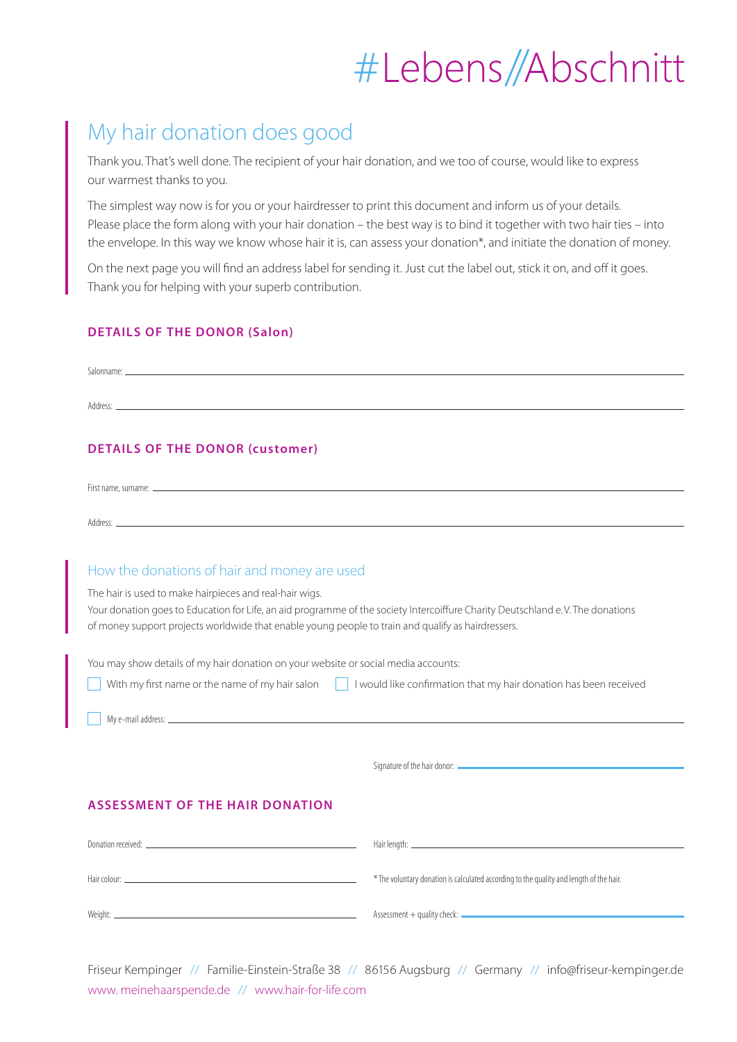## #Lebens//Abschnitt

### My hair donation does good

Thank you. That's well done. The recipient of your hair donation, and we too of course, would like to express our warmest thanks to you.

The simplest way now is for you or your hairdresser to print this document and inform us of your details. Please place the form along with your hair donation – the best way is to bind it together with two hair ties – into the envelope. In this way we know whose hair it is, can assess your donation\*, and initiate the donation of money.

On the next page you will find an address label for sending it. Just cut the label out, stick it on, and off it goes. Thank you for helping with your superb contribution.

#### **DETAILS OF THE DONOR (Salon)**

| Salonname: |  |  |
|------------|--|--|
|            |  |  |
| Address:   |  |  |

#### **DETAILS OF THE DONOR (customer)**

| First name, surname: ______ |  |  |  |
|-----------------------------|--|--|--|
|                             |  |  |  |
| Address:                    |  |  |  |

#### How the donations of hair and money are used

The hair is used to make hairpieces and real-hair wigs.

Your donation goes to Education for Life, an aid programme of the society Intercoiffure Charity Deutschland e. V. The donations of money support projects worldwide that enable young people to train and qualify as hairdressers.

You may show details of my hair donation on your website or social media accounts:

|  | With my first name or the name of my hair salon $\ \cdot\ $ I would like confirmation that my hair donation has been received |
|--|-------------------------------------------------------------------------------------------------------------------------------|

My e-mail address:

Signature of the hair donor:

#### **ASSESSMENT OF THE HAIR DONATION**

| Donation received: _ |                                                                                         |
|----------------------|-----------------------------------------------------------------------------------------|
|                      | * The voluntary donation is calculated according to the quality and length of the hair. |
| Weight:              |                                                                                         |

Friseur Kempinger // Familie-Einstein-Straße 38 // 86156 Augsburg // Germany // info@friseur-kempinger.de www. meinehaarspende.de // www.hair-for-life.com